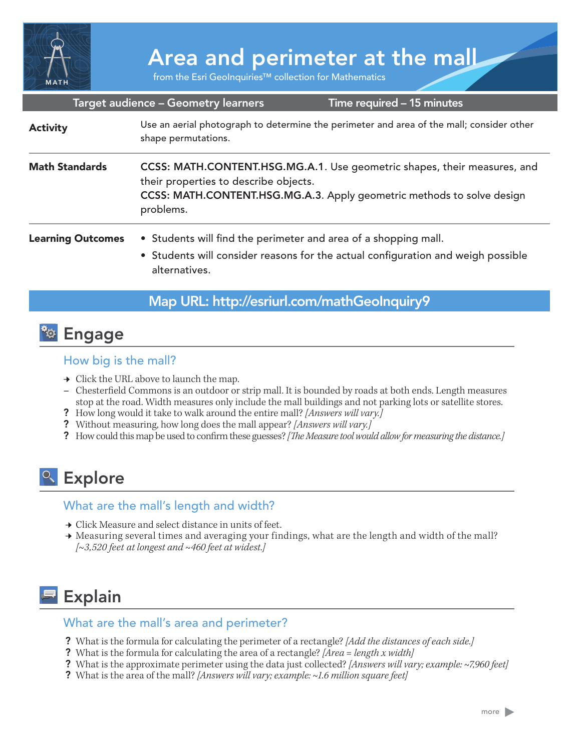

# Area and perimeter at the mall

from the Esri GeoInquiries™ collection for Mathematics

#### Target audience – Geometry learners

Time required – 15 minutes

| <b>Activity</b>          | Use an aerial photograph to determine the perimeter and area of the mall; consider other<br>shape permutations.                                                                                          |
|--------------------------|----------------------------------------------------------------------------------------------------------------------------------------------------------------------------------------------------------|
| <b>Math Standards</b>    | CCSS: MATH.CONTENT.HSG.MG.A.1. Use geometric shapes, their measures, and<br>their properties to describe objects.<br>CCSS: MATH.CONTENT.HSG.MG.A.3. Apply geometric methods to solve design<br>problems. |
| <b>Learning Outcomes</b> | • Students will find the perimeter and area of a shopping mall.<br>• Students will consider reasons for the actual configuration and weigh possible<br>alternatives.                                     |

## Map URL: http://esriurl.com/mathGeoInquiry9

## **<sup>to</sup>** Engage

### How big is the mall?

- $\rightarrow$  Click the URL above to launch the map.
- **–** Chesterfield Commons is an outdoor or strip mall. It is bounded by roads at both ends. Length measures stop at the road. Width measures only include the mall buildings and not parking lots or satellite stores.
- ? How long would it take to walk around the entire mall? *[Answers will vary.]*
- ? Without measuring, how long does the mall appear? *[Answers will vary.]*
- ? How could this map be used to confirm these guesses? *[The Measure tool would allow for measuring the distance.]*

## <sup>o</sup> Explore

## What are the mall's length and width?

- → Click Measure and select distance in units of feet.
- **→** Measuring several times and averaging your findings, what are the length and width of the mall? *[~3,520 feet at longest and ~460 feet at widest.]*

## **Explain**

## What are the mall's area and perimeter?

- ? What is the formula for calculating the perimeter of a rectangle? *[Add the distances of each side.]*
- ? What is the formula for calculating the area of a rectangle? *[Area = length x width]*
- ? What is the approximate perimeter using the data just collected? *[Answers will vary; example: ~7,960 feet]*
- ? What is the area of the mall? *[Answers will vary; example: ~1.6 million square feet]*